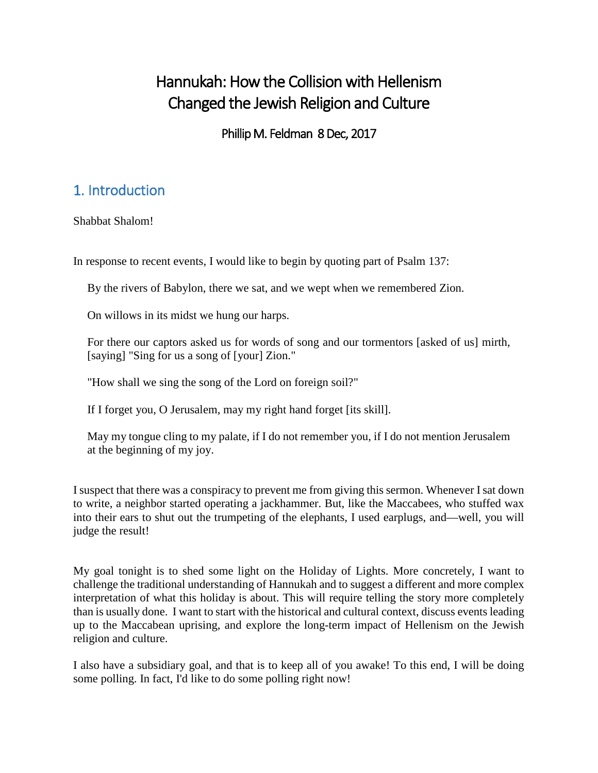# Hannukah: How the Collision with Hellenism Changed the Jewish Religion and Culture

Phillip M. Feldman 8 Dec, 2017

## 1. Introduction

Shabbat Shalom!

In response to recent events, I would like to begin by quoting part of Psalm 137:

By the rivers of Babylon, there we sat, and we wept when we remembered Zion.

On willows in its midst we hung our harps.

For there our captors asked us for words of song and our tormentors [asked of us] mirth, [saying] "Sing for us a song of [your] Zion."

"How shall we sing the song of the Lord on foreign soil?"

If I forget you, O Jerusalem, may my right hand forget [its skill].

May my tongue cling to my palate, if I do not remember you, if I do not mention Jerusalem at the beginning of my joy.

I suspect that there was a conspiracy to prevent me from giving this sermon. Whenever I sat down to write, a neighbor started operating a jackhammer. But, like the Maccabees, who stuffed wax into their ears to shut out the trumpeting of the elephants, I used earplugs, and—well, you will judge the result!

My goal tonight is to shed some light on the Holiday of Lights. More concretely, I want to challenge the traditional understanding of Hannukah and to suggest a different and more complex interpretation of what this holiday is about. This will require telling the story more completely than is usually done. I want to start with the historical and cultural context, discuss events leading up to the Maccabean uprising, and explore the long-term impact of Hellenism on the Jewish religion and culture.

I also have a subsidiary goal, and that is to keep all of you awake! To this end, I will be doing some polling. In fact, I'd like to do some polling right now!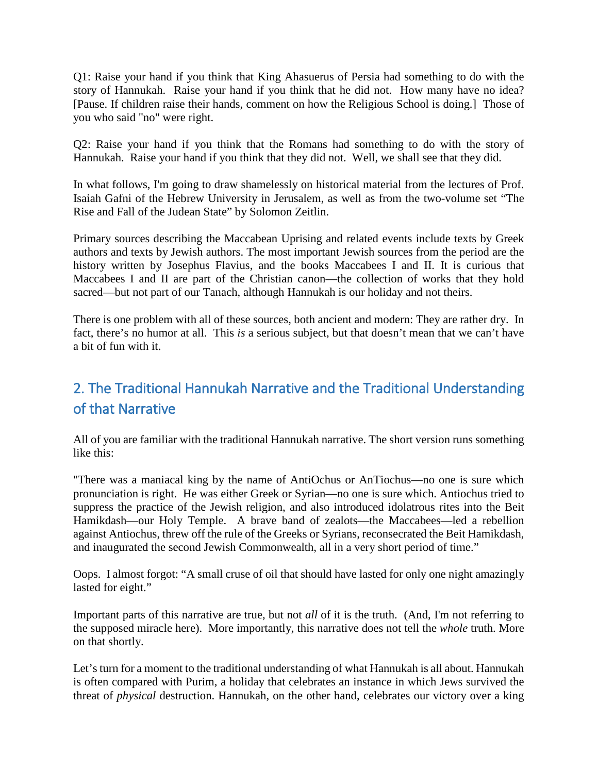Q1: Raise your hand if you think that King Ahasuerus of Persia had something to do with the story of Hannukah. Raise your hand if you think that he did not. How many have no idea? [Pause. If children raise their hands, comment on how the Religious School is doing.] Those of you who said "no" were right.

Q2: Raise your hand if you think that the Romans had something to do with the story of Hannukah. Raise your hand if you think that they did not. Well, we shall see that they did.

In what follows, I'm going to draw shamelessly on historical material from the lectures of Prof. Isaiah Gafni of the Hebrew University in Jerusalem, as well as from the two-volume set "The Rise and Fall of the Judean State" by Solomon Zeitlin.

Primary sources describing the Maccabean Uprising and related events include texts by Greek authors and texts by Jewish authors. The most important Jewish sources from the period are the history written by Josephus Flavius, and the books Maccabees I and II. It is curious that Maccabees I and II are part of the Christian canon—the collection of works that they hold sacred—but not part of our Tanach, although Hannukah is our holiday and not theirs.

There is one problem with all of these sources, both ancient and modern: They are rather dry. In fact, there's no humor at all. This *is* a serious subject, but that doesn't mean that we can't have a bit of fun with it.

## 2. The Traditional Hannukah Narrative and the Traditional Understanding of that Narrative

All of you are familiar with the traditional Hannukah narrative. The short version runs something like this:

"There was a maniacal king by the name of AntiOchus or AnTiochus—no one is sure which pronunciation is right. He was either Greek or Syrian—no one is sure which. Antiochus tried to suppress the practice of the Jewish religion, and also introduced idolatrous rites into the Beit Hamikdash—our Holy Temple. A brave band of zealots—the Maccabees—led a rebellion against Antiochus, threw off the rule of the Greeks or Syrians, reconsecrated the Beit Hamikdash, and inaugurated the second Jewish Commonwealth, all in a very short period of time."

Oops. I almost forgot: "A small cruse of oil that should have lasted for only one night amazingly lasted for eight."

Important parts of this narrative are true, but not *all* of it is the truth. (And, I'm not referring to the supposed miracle here). More importantly, this narrative does not tell the *whole* truth. More on that shortly.

Let's turn for a moment to the traditional understanding of what Hannukah is all about. Hannukah is often compared with Purim, a holiday that celebrates an instance in which Jews survived the threat of *physical* destruction. Hannukah, on the other hand, celebrates our victory over a king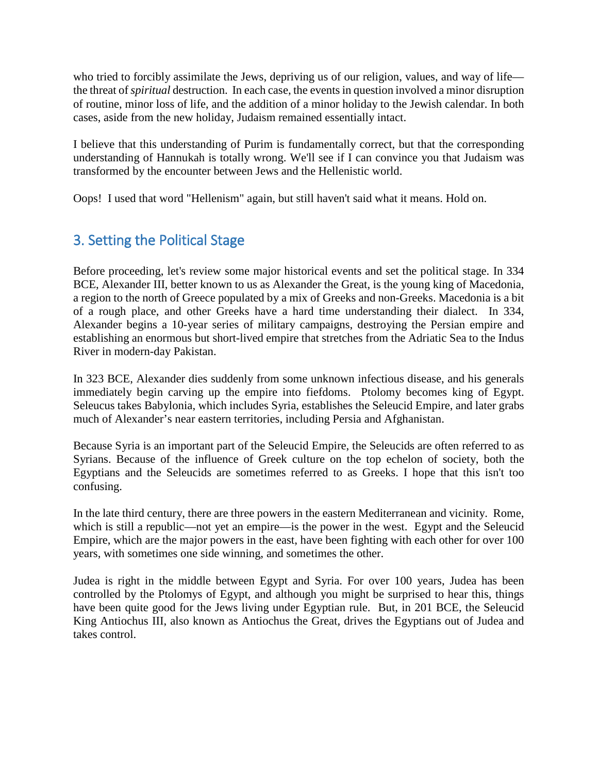who tried to forcibly assimilate the Jews, depriving us of our religion, values, and way of life the threat of *spiritual* destruction. In each case, the events in question involved a minor disruption of routine, minor loss of life, and the addition of a minor holiday to the Jewish calendar. In both cases, aside from the new holiday, Judaism remained essentially intact.

I believe that this understanding of Purim is fundamentally correct, but that the corresponding understanding of Hannukah is totally wrong. We'll see if I can convince you that Judaism was transformed by the encounter between Jews and the Hellenistic world.

Oops! I used that word "Hellenism" again, but still haven't said what it means. Hold on.

### 3. Setting the Political Stage

Before proceeding, let's review some major historical events and set the political stage. In 334 BCE, Alexander III, better known to us as Alexander the Great, is the young king of Macedonia, a region to the north of Greece populated by a mix of Greeks and non-Greeks. Macedonia is a bit of a rough place, and other Greeks have a hard time understanding their dialect. In 334, Alexander begins a 10-year series of military campaigns, destroying the Persian empire and establishing an enormous but short-lived empire that stretches from the Adriatic Sea to the Indus River in modern-day Pakistan.

In 323 BCE, Alexander dies suddenly from some unknown infectious disease, and his generals immediately begin carving up the empire into fiefdoms. Ptolomy becomes king of Egypt. Seleucus takes Babylonia, which includes Syria, establishes the Seleucid Empire, and later grabs much of Alexander's near eastern territories, including Persia and Afghanistan.

Because Syria is an important part of the Seleucid Empire, the Seleucids are often referred to as Syrians. Because of the influence of Greek culture on the top echelon of society, both the Egyptians and the Seleucids are sometimes referred to as Greeks. I hope that this isn't too confusing.

In the late third century, there are three powers in the eastern Mediterranean and vicinity. Rome, which is still a republic—not yet an empire—is the power in the west. Egypt and the Seleucid Empire, which are the major powers in the east, have been fighting with each other for over 100 years, with sometimes one side winning, and sometimes the other.

Judea is right in the middle between Egypt and Syria. For over 100 years, Judea has been controlled by the Ptolomys of Egypt, and although you might be surprised to hear this, things have been quite good for the Jews living under Egyptian rule. But, in 201 BCE, the Seleucid King Antiochus III, also known as Antiochus the Great, drives the Egyptians out of Judea and takes control.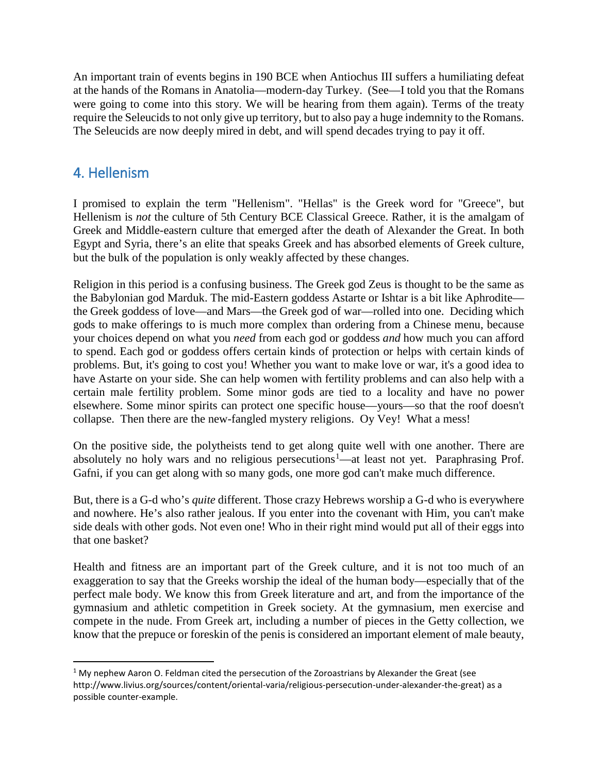An important train of events begins in 190 BCE when Antiochus III suffers a humiliating defeat at the hands of the Romans in Anatolia—modern-day Turkey. (See—I told you that the Romans were going to come into this story. We will be hearing from them again). Terms of the treaty require the Seleucids to not only give up territory, but to also pay a huge indemnity to the Romans. The Seleucids are now deeply mired in debt, and will spend decades trying to pay it off.

#### 4. Hellenism

I promised to explain the term "Hellenism". "Hellas" is the Greek word for "Greece", but Hellenism is *not* the culture of 5th Century BCE Classical Greece. Rather, it is the amalgam of Greek and Middle-eastern culture that emerged after the death of Alexander the Great. In both Egypt and Syria, there's an elite that speaks Greek and has absorbed elements of Greek culture, but the bulk of the population is only weakly affected by these changes.

Religion in this period is a confusing business. The Greek god Zeus is thought to be the same as the Babylonian god Marduk. The mid-Eastern goddess Astarte or Ishtar is a bit like Aphrodite the Greek goddess of love—and Mars—the Greek god of war—rolled into one. Deciding which gods to make offerings to is much more complex than ordering from a Chinese menu, because your choices depend on what you *need* from each god or goddess *and* how much you can afford to spend. Each god or goddess offers certain kinds of protection or helps with certain kinds of problems. But, it's going to cost you! Whether you want to make love or war, it's a good idea to have Astarte on your side. She can help women with fertility problems and can also help with a certain male fertility problem. Some minor gods are tied to a locality and have no power elsewhere. Some minor spirits can protect one specific house—yours—so that the roof doesn't collapse. Then there are the new-fangled mystery religions. Oy Vey! What a mess!

On the positive side, the polytheists tend to get along quite well with one another. There are absolutely no holy wars and no religious persecutions<sup>[1](#page-3-0)</sup>—at least not yet. Paraphrasing Prof. Gafni, if you can get along with so many gods, one more god can't make much difference.

But, there is a G-d who's *quite* different. Those crazy Hebrews worship a G-d who is everywhere and nowhere. He's also rather jealous. If you enter into the covenant with Him, you can't make side deals with other gods. Not even one! Who in their right mind would put all of their eggs into that one basket?

Health and fitness are an important part of the Greek culture, and it is not too much of an exaggeration to say that the Greeks worship the ideal of the human body—especially that of the perfect male body. We know this from Greek literature and art, and from the importance of the gymnasium and athletic competition in Greek society. At the gymnasium, men exercise and compete in the nude. From Greek art, including a number of pieces in the Getty collection, we know that the prepuce or foreskin of the penis is considered an important element of male beauty,

<span id="page-3-0"></span> $1$  My nephew Aaron O. Feldman cited the persecution of the Zoroastrians by Alexander the Great (see http://www.livius.org/sources/content/oriental-varia/religious-persecution-under-alexander-the-great) as a possible counter-example.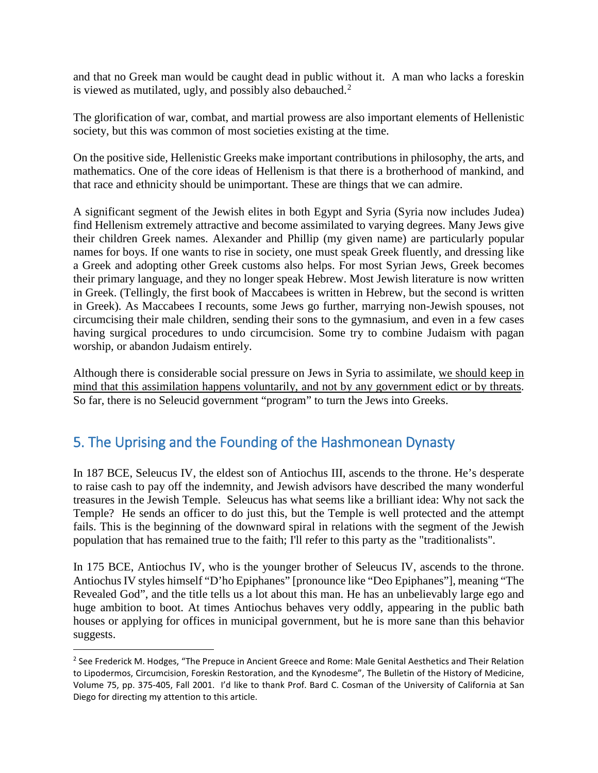and that no Greek man would be caught dead in public without it. A man who lacks a foreskin is viewed as mutilated, ugly, and possibly also debauched. $2^2$  $2^2$ 

The glorification of war, combat, and martial prowess are also important elements of Hellenistic society, but this was common of most societies existing at the time.

On the positive side, Hellenistic Greeks make important contributions in philosophy, the arts, and mathematics. One of the core ideas of Hellenism is that there is a brotherhood of mankind, and that race and ethnicity should be unimportant. These are things that we can admire.

A significant segment of the Jewish elites in both Egypt and Syria (Syria now includes Judea) find Hellenism extremely attractive and become assimilated to varying degrees. Many Jews give their children Greek names. Alexander and Phillip (my given name) are particularly popular names for boys. If one wants to rise in society, one must speak Greek fluently, and dressing like a Greek and adopting other Greek customs also helps. For most Syrian Jews, Greek becomes their primary language, and they no longer speak Hebrew. Most Jewish literature is now written in Greek. (Tellingly, the first book of Maccabees is written in Hebrew, but the second is written in Greek). As Maccabees I recounts, some Jews go further, marrying non-Jewish spouses, not circumcising their male children, sending their sons to the gymnasium, and even in a few cases having surgical procedures to undo circumcision. Some try to combine Judaism with pagan worship, or abandon Judaism entirely.

Although there is considerable social pressure on Jews in Syria to assimilate, we should keep in mind that this assimilation happens voluntarily, and not by any government edict or by threats. So far, there is no Seleucid government "program" to turn the Jews into Greeks.

#### 5. The Uprising and the Founding of the Hashmonean Dynasty

In 187 BCE, Seleucus IV, the eldest son of Antiochus III, ascends to the throne. He's desperate to raise cash to pay off the indemnity, and Jewish advisors have described the many wonderful treasures in the Jewish Temple. Seleucus has what seems like a brilliant idea: Why not sack the Temple? He sends an officer to do just this, but the Temple is well protected and the attempt fails. This is the beginning of the downward spiral in relations with the segment of the Jewish population that has remained true to the faith; I'll refer to this party as the "traditionalists".

In 175 BCE, Antiochus IV, who is the younger brother of Seleucus IV, ascends to the throne. Antiochus IV styles himself "D'ho Epiphanes" [pronounce like "Deo Epiphanes"], meaning "The Revealed God", and the title tells us a lot about this man. He has an unbelievably large ego and huge ambition to boot. At times Antiochus behaves very oddly, appearing in the public bath houses or applying for offices in municipal government, but he is more sane than this behavior suggests.

<span id="page-4-0"></span><sup>&</sup>lt;sup>2</sup> See Frederick M. Hodges, "The Prepuce in Ancient Greece and Rome: Male Genital Aesthetics and Their Relation to Lipodermos, Circumcision, Foreskin Restoration, and the Kynodesme", The Bulletin of the History of Medicine, Volume 75, pp. 375-405, Fall 2001. I'd like to thank Prof. Bard C. Cosman of the University of California at San Diego for directing my attention to this article.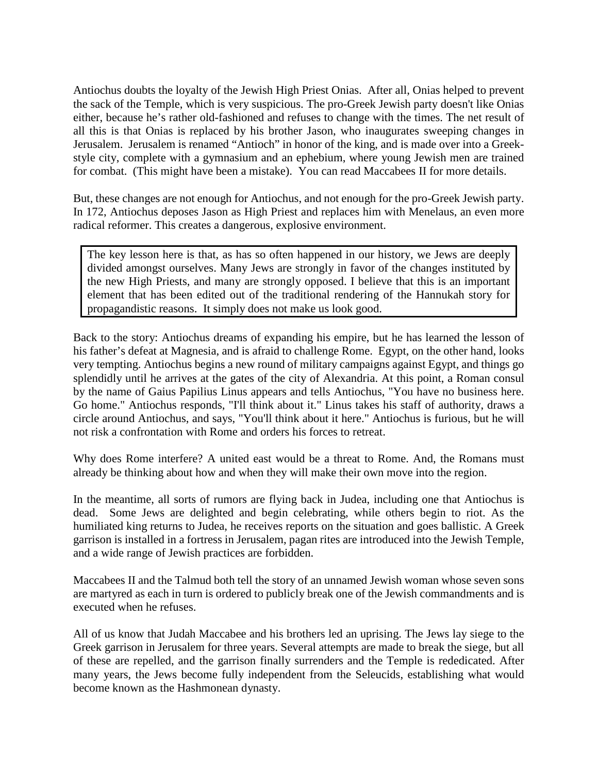Antiochus doubts the loyalty of the Jewish High Priest Onias. After all, Onias helped to prevent the sack of the Temple, which is very suspicious. The pro-Greek Jewish party doesn't like Onias either, because he's rather old-fashioned and refuses to change with the times. The net result of all this is that Onias is replaced by his brother Jason, who inaugurates sweeping changes in Jerusalem. Jerusalem is renamed "Antioch" in honor of the king, and is made over into a Greekstyle city, complete with a gymnasium and an ephebium, where young Jewish men are trained for combat. (This might have been a mistake). You can read Maccabees II for more details.

But, these changes are not enough for Antiochus, and not enough for the pro-Greek Jewish party. In 172, Antiochus deposes Jason as High Priest and replaces him with Menelaus, an even more radical reformer. This creates a dangerous, explosive environment.

The key lesson here is that, as has so often happened in our history, we Jews are deeply divided amongst ourselves. Many Jews are strongly in favor of the changes instituted by the new High Priests, and many are strongly opposed. I believe that this is an important element that has been edited out of the traditional rendering of the Hannukah story for propagandistic reasons. It simply does not make us look good.

Back to the story: Antiochus dreams of expanding his empire, but he has learned the lesson of his father's defeat at Magnesia, and is afraid to challenge Rome. Egypt, on the other hand, looks very tempting. Antiochus begins a new round of military campaigns against Egypt, and things go splendidly until he arrives at the gates of the city of Alexandria. At this point, a Roman consul by the name of Gaius Papilius Linus appears and tells Antiochus, "You have no business here. Go home." Antiochus responds, "I'll think about it." Linus takes his staff of authority, draws a circle around Antiochus, and says, "You'll think about it here." Antiochus is furious, but he will not risk a confrontation with Rome and orders his forces to retreat.

Why does Rome interfere? A united east would be a threat to Rome. And, the Romans must already be thinking about how and when they will make their own move into the region.

In the meantime, all sorts of rumors are flying back in Judea, including one that Antiochus is dead. Some Jews are delighted and begin celebrating, while others begin to riot. As the humiliated king returns to Judea, he receives reports on the situation and goes ballistic. A Greek garrison is installed in a fortress in Jerusalem, pagan rites are introduced into the Jewish Temple, and a wide range of Jewish practices are forbidden.

Maccabees II and the Talmud both tell the story of an unnamed Jewish woman whose seven sons are martyred as each in turn is ordered to publicly break one of the Jewish commandments and is executed when he refuses.

All of us know that Judah Maccabee and his brothers led an uprising. The Jews lay siege to the Greek garrison in Jerusalem for three years. Several attempts are made to break the siege, but all of these are repelled, and the garrison finally surrenders and the Temple is rededicated. After many years, the Jews become fully independent from the Seleucids, establishing what would become known as the Hashmonean dynasty.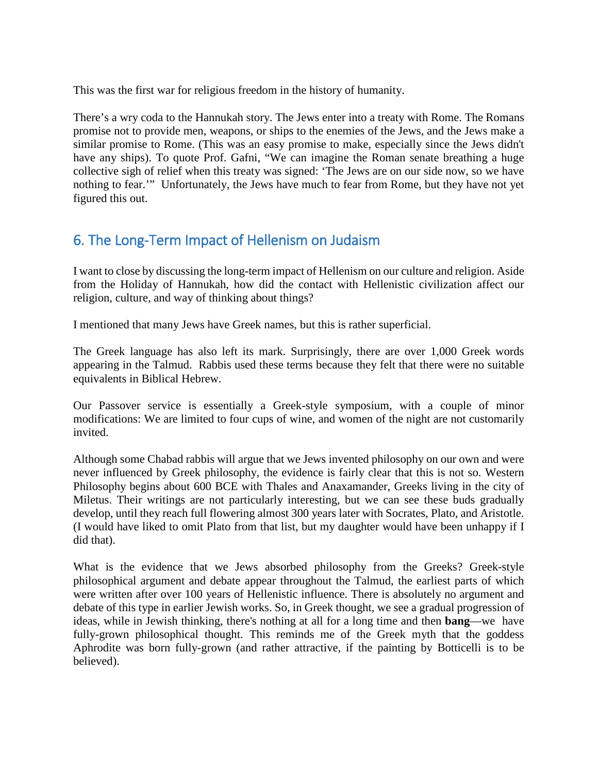This was the first war for religious freedom in the history of humanity.

There's a wry coda to the Hannukah story. The Jews enter into a treaty with Rome. The Romans promise not to provide men, weapons, or ships to the enemies of the Jews, and the Jews make a similar promise to Rome. (This was an easy promise to make, especially since the Jews didn't have any ships). To quote Prof. Gafni, "We can imagine the Roman senate breathing a huge collective sigh of relief when this treaty was signed: 'The Jews are on our side now, so we have nothing to fear.'" Unfortunately, the Jews have much to fear from Rome, but they have not yet figured this out.

### 6. The Long-Term Impact of Hellenism on Judaism

I want to close by discussing the long-term impact of Hellenism on our culture and religion. Aside from the Holiday of Hannukah, how did the contact with Hellenistic civilization affect our religion, culture, and way of thinking about things?

I mentioned that many Jews have Greek names, but this is rather superficial.

The Greek language has also left its mark. Surprisingly, there are over 1,000 Greek words appearing in the Talmud. Rabbis used these terms because they felt that there were no suitable equivalents in Biblical Hebrew.

Our Passover service is essentially a Greek-style symposium, with a couple of minor modifications: We are limited to four cups of wine, and women of the night are not customarily invited.

Although some Chabad rabbis will argue that we Jews invented philosophy on our own and were never influenced by Greek philosophy, the evidence is fairly clear that this is not so. Western Philosophy begins about 600 BCE with Thales and Anaxamander, Greeks living in the city of Miletus. Their writings are not particularly interesting, but we can see these buds gradually develop, until they reach full flowering almost 300 years later with Socrates, Plato, and Aristotle. (I would have liked to omit Plato from that list, but my daughter would have been unhappy if I did that).

What is the evidence that we Jews absorbed philosophy from the Greeks? Greek-style philosophical argument and debate appear throughout the Talmud, the earliest parts of which were written after over 100 years of Hellenistic influence. There is absolutely no argument and debate of this type in earlier Jewish works. So, in Greek thought, we see a gradual progression of ideas, while in Jewish thinking, there's nothing at all for a long time and then **bang**—we have fully-grown philosophical thought. This reminds me of the Greek myth that the goddess Aphrodite was born fully-grown (and rather attractive, if the painting by Botticelli is to be believed).